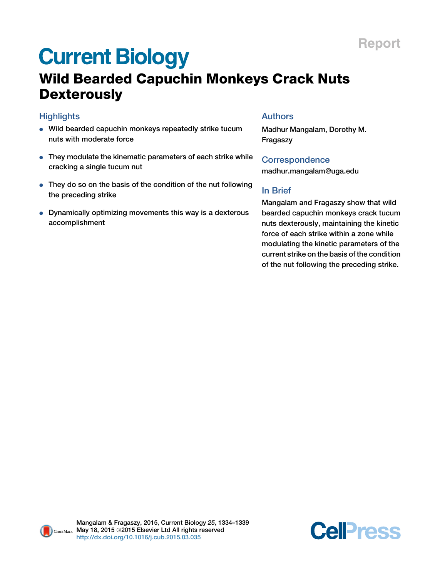# **Current Biology**

# Wild Bearded Capuchin Monkeys Crack Nuts **Dexterously**

### **Highlights**

- Wild bearded capuchin monkeys repeatedly strike tucum nuts with moderate force
- They modulate the kinematic parameters of each strike while cracking a single tucum nut
- They do so on the basis of the condition of the nut following the preceding strike
- Dynamically optimizing movements this way is a dexterous accomplishment

### Authors

Madhur Mangalam, Dorothy M. Fragaszy

**Correspondence** [madhur.mangalam@uga.edu](mailto:madhur.mangalam@uga.edu)

## In Brief

Mangalam and Fragaszy show that wild bearded capuchin monkeys crack tucum nuts dexterously, maintaining the kinetic force of each strike within a zone while modulating the kinetic parameters of the current strike on the basis of the condition of the nut following the preceding strike.



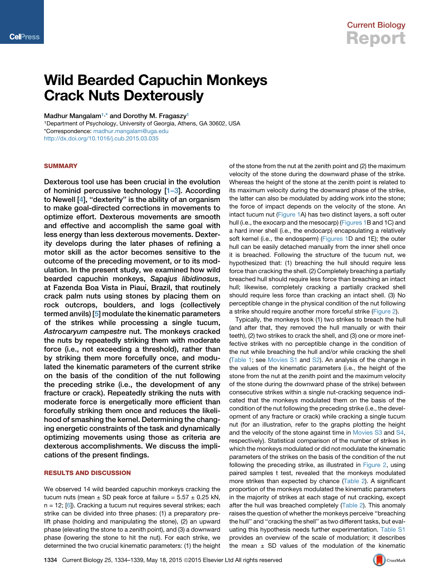# Wild Bearded Capuchin Monkeys Crack Nuts Dexterously

Madhur Mangalam<sup>[1](#page-1-0),[\\*](#page-1-1)</sup> and Dorothy M. Fragaszy<sup>1</sup>

<span id="page-1-1"></span><span id="page-1-0"></span>1Department of Psychology, University of Georgia, Athens, GA 30602, USA \*Correspondence: [madhur.mangalam@uga.edu](mailto:madhur.mangalam@uga.edu)

<http://dx.doi.org/10.1016/j.cub.2015.03.035>

#### **SUMMARY**

Dexterous tool use has been crucial in the evolution of hominid percussive technology [[1–3\]](#page-5-0). According to Newell [[4](#page-5-1)], ''dexterity'' is the ability of an organism to make goal-directed corrections in movements to optimize effort. Dexterous movements are smooth and effective and accomplish the same goal with less energy than less dexterous movements. Dexterity develops during the later phases of refining a motor skill as the actor becomes sensitive to the outcome of the preceding movement, or to its modulation. In the present study, we examined how wild bearded capuchin monkeys, Sapajus libidinosus, at Fazenda Boa Vista in Piauí, Brazil, that routinely crack palm nuts using stones by placing them on rock outcrops, boulders, and logs (collectively termed anvils) [\[5\]](#page-5-2) modulate the kinematic parameters of the strikes while processing a single tucum, Astrocaryum campestre nut. The monkeys cracked the nuts by repeatedly striking them with moderate force (i.e., not exceeding a threshold), rather than by striking them more forcefully once, and modulated the kinematic parameters of the current strike on the basis of the condition of the nut following the preceding strike (i.e., the development of any fracture or crack). Repeatedly striking the nuts with moderate force is energetically more efficient than forcefully striking them once and reduces the likelihood of smashing the kernel. Determining the changing energetic constraints of the task and dynamically optimizing movements using those as criteria are dexterous accomplishments. We discuss the implications of the present findings.

#### RESULTS AND DISCUSSION

We observed 14 wild bearded capuchin monkeys cracking the tucum nuts (mean  $\pm$  SD peak force at failure = 5.57  $\pm$  0.25 kN, n = 12; [[6](#page-5-3)]). Cracking a tucum nut requires several strikes; each strike can be divided into three phases: (1) a preparatory prelift phase (holding and manipulating the stone), (2) an upward phase (elevating the stone to a zenith point), and (3) a downward phase (lowering the stone to hit the nut). For each strike, we determined the two crucial kinematic parameters: (1) the height



of the stone from the nut at the zenith point and (2) the maximum velocity of the stone during the downward phase of the strike. Whereas the height of the stone at the zenith point is related to its maximum velocity during the downward phase of the strike, the latter can also be modulated by adding work into the stone; the force of impact depends on the velocity of the stone. An intact tucum nut ([Figure 1A](#page-2-0)) has two distinct layers, a soft outer hull (i.e., the exocarp and the mesocarp) [\(Figures 1](#page-2-0)B and 1C) and a hard inner shell (i.e., the endocarp) encapsulating a relatively soft kernel (i.e., the endosperm) [\(Figures 1](#page-2-0)D and 1E); the outer hull can be easily detached manually from the inner shell once it is breached. Following the structure of the tucum nut, we hypothesized that: (1) breaching the hull should require less force than cracking the shell. (2) Completely breaching a partially breached hull should require less force than breaching an intact hull; likewise, completely cracking a partially cracked shell should require less force than cracking an intact shell. (3) No perceptible change in the physical condition of the nut following a strike should require another more forceful strike [\(Figure 2\)](#page-2-1).

Typically, the monkeys took (1) two strikes to breach the hull (and after that, they removed the hull manually or with their teeth), (2) two strikes to crack the shell, and (3) one or more ineffective strikes with no perceptible change in the condition of the nut while breaching the hull and/or while cracking the shell [\(Table 1;](#page-3-0) see Movies S1 and S2). An analysis of the change in the values of the kinematic parameters (i.e., the height of the stone from the nut at the zenith point and the maximum velocity of the stone during the downward phase of the strike) between consecutive strikes within a single nut-cracking sequence indicated that the monkeys modulated them on the basis of the condition of the nut following the preceding strike (i.e., the development of any fracture or crack) while cracking a single tucum nut (for an illustration, refer to the graphs plotting the height and the velocity of the stone against time in Movies S3 and S4, respectively). Statistical comparison of the number of strikes in which the monkeys modulated or did not modulate the kinematic parameters of the strikes on the basis of the condition of the nut following the preceding strike, as illustrated in [Figure 2,](#page-2-1) using paired samples t test, revealed that the monkeys modulated more strikes than expected by chance [\(Table 2\)](#page-4-0). A significant proportion of the monkeys modulated the kinematic parameters in the majority of strikes at each stage of nut cracking, except after the hull was breached completely ([Table 2](#page-4-0)). This anomaly raises the question of whether the monkeys perceive ''breaching the hull'' and ''cracking the shell'' as two different tasks, but evaluating this hypothesis needs further experimentation. [Table S1](#page-5-4) provides an overview of the scale of modulation; it describes the mean  $\pm$  SD values of the modulation of the kinematic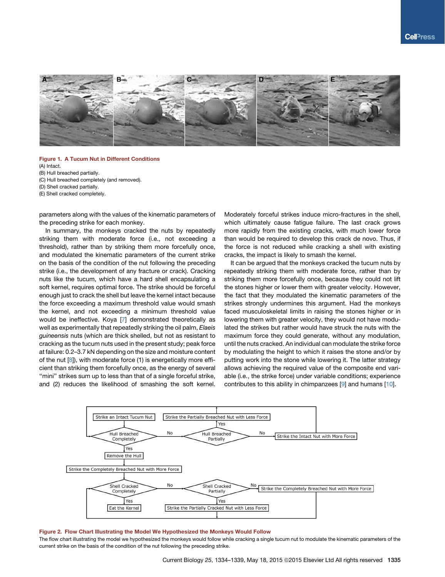<span id="page-2-2"></span><span id="page-2-0"></span>

Figure 1. A Tucum Nut in Different Conditions (A) Intact. (B) Hull breached partially. (C) Hull breached completely (and removed). (D) Shell cracked partially.

(E) Shell cracked completely.

parameters along with the values of the kinematic parameters of the preceding strike for each monkey.

In summary, the monkeys cracked the nuts by repeatedly striking them with moderate force (i.e., not exceeding a threshold), rather than by striking them more forcefully once, and modulated the kinematic parameters of the current strike on the basis of the condition of the nut following the preceding strike (i.e., the development of any fracture or crack). Cracking nuts like the tucum, which have a hard shell encapsulating a soft kernel, requires optimal force. The strike should be forceful enough just to crack the shell but leave the kernel intact because the force exceeding a maximum threshold value would smash the kernel, and not exceeding a minimum threshold value would be ineffective. Koya [\[7\]](#page-5-5) demonstrated theoretically as well as experimentally that repeatedly striking the oil palm, *Elaeis guineensis* nuts (which are thick shelled, but not as resistant to cracking as the tucum nuts used in the present study; peak force at failure: 0.2–3.7 kN depending on the size and moisture content of the nut [[8](#page-5-6)]), with moderate force (1) is energetically more efficient than striking them forcefully once, as the energy of several ''mini'' strikes sum up to less than that of a single forceful strike, and (2) reduces the likelihood of smashing the soft kernel.

Moderately forceful strikes induce micro-fractures in the shell, which ultimately cause fatigue failure. The last crack grows more rapidly from the existing cracks, with much lower force than would be required to develop this crack de novo. Thus, if the force is not reduced while cracking a shell with existing cracks, the impact is likely to smash the kernel.

It can be argued that the monkeys cracked the tucum nuts by repeatedly striking them with moderate force, rather than by striking them more forcefully once, because they could not lift the stones higher or lower them with greater velocity. However, the fact that they modulated the kinematic parameters of the strikes strongly undermines this argument. Had the monkeys faced musculoskeletal limits in raising the stones higher or in lowering them with greater velocity, they would not have modulated the strikes but rather would have struck the nuts with the maximum force they could generate, without any modulation, until the nuts cracked. An individual can modulate the strike force by modulating the height to which it raises the stone and/or by putting work into the stone while lowering it. The latter strategy allows achieving the required value of the composite end variable (i.e., the strike force) under variable conditions; experience contributes to this ability in chimpanzees [[9](#page-5-7)] and humans [\[10\]](#page-5-8).

<span id="page-2-1"></span>

Figure 2. Flow Chart Illustrating the Model We Hypothesized the Monkeys Would Follow

The flow chart illustrating the model we hypothesized the monkeys would follow while cracking a single tucum nut to modulate the kinematic parameters of the current strike on the basis of the condition of the nut following the preceding strike.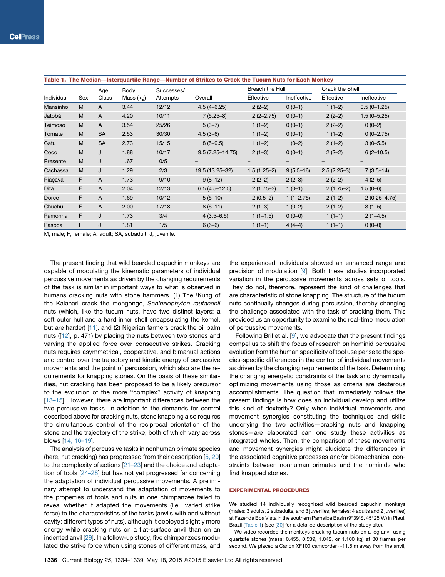<span id="page-3-0"></span>

|                                                                    |     |                |           |     | Table 1. The Median—Interquartile Range—Number of Strikes to Crack the Tucum Nuts for Each Monkey<br>Crack the Shell<br>Breach the Hull<br>Successes/<br>Ineffective<br>Ineffective<br>Effective<br>Effective<br>Overall<br>Attempts<br>12/12<br>$4.5(4 - 6.25)$<br>$2(2-2)$<br>$0(0-1)$<br>$1(1-2)$<br>$0.5(0-1.25)$<br>$0(0-1)$<br>$1.5(0-5.25)$<br>10/11<br>$7(5.25-8)$<br>$2(2-2.75)$<br>$2(2-2)$<br>$0(0-2)$<br>25/26<br>$5(3-7)$<br>$1(1-2)$<br>$0(0-1)$<br>$2(2-2)$<br>$1(1-2)$<br>$0(0-1)$<br>$1(1-2)$<br>30/30<br>$4.5(3-6)$<br>$0(0-2.75)$<br>15/15<br>$1(0-2)$<br>$2(1-2)$<br>$3(0-5.5)$<br>$8(5-9.5)$<br>$1(1-2)$<br>10/17<br>$9.5(7.25 - 14.75)$<br>$2(1-3)$<br>$0(0-1)$<br>$2(2-2)$<br>$6(2-10.5)$<br>0/5<br>2/3<br>$1.5(1.25-2)$<br>19.5 (13.25-32)<br>$9(5.5-16)$<br>$2.5(2.25-3)$<br>$7(3.5-14)$<br>9/10<br>$9(8-12)$<br>$2(2-2)$<br>$2(2-2)$<br>$2(2-3)$<br>$4(2-5)$<br>12/13<br>$6.5(4.5 - 12.5)$<br>$1(0-1)$<br>$2(1.75-3)$<br>$2(1.75-2)$<br>$1.5(0-6)$<br>$5(5-10)$<br>10/12<br>$1(1-2.75)$<br>$2(1-2)$<br>$2(0.25 - 4.75)$<br>$2(0.5-2)$<br>$1(0-2)$<br>17/18<br>$8(6-11)$<br>$2(1-3)$<br>$2(1-2)$<br>$3(1-5)$<br>3/4<br>$1(1-1)$<br>$4(3.5-6.5)$<br>$1(1-1.5)$<br>$0(0-0)$<br>$2(1-4.5)$ |          |          |          |          |  |  |
|--------------------------------------------------------------------|-----|----------------|-----------|-----|------------------------------------------------------------------------------------------------------------------------------------------------------------------------------------------------------------------------------------------------------------------------------------------------------------------------------------------------------------------------------------------------------------------------------------------------------------------------------------------------------------------------------------------------------------------------------------------------------------------------------------------------------------------------------------------------------------------------------------------------------------------------------------------------------------------------------------------------------------------------------------------------------------------------------------------------------------------------------------------------------------------------------------------------------------------------------------------------------------------------------------------------------------------------------------------------------------------|----------|----------|----------|----------|--|--|
|                                                                    |     | Age<br>Class   | Body      |     |                                                                                                                                                                                                                                                                                                                                                                                                                                                                                                                                                                                                                                                                                                                                                                                                                                                                                                                                                                                                                                                                                                                                                                                                                  |          |          |          |          |  |  |
| Individual                                                         | Sex |                | Mass (kg) |     |                                                                                                                                                                                                                                                                                                                                                                                                                                                                                                                                                                                                                                                                                                                                                                                                                                                                                                                                                                                                                                                                                                                                                                                                                  |          |          |          |          |  |  |
| Mansinho                                                           | M   | A              | 3.44      |     |                                                                                                                                                                                                                                                                                                                                                                                                                                                                                                                                                                                                                                                                                                                                                                                                                                                                                                                                                                                                                                                                                                                                                                                                                  |          |          |          |          |  |  |
| Jatobá                                                             | M   | A              | 4.20      |     |                                                                                                                                                                                                                                                                                                                                                                                                                                                                                                                                                                                                                                                                                                                                                                                                                                                                                                                                                                                                                                                                                                                                                                                                                  |          |          |          |          |  |  |
| Teimoso                                                            | M   | A              | 3.54      |     |                                                                                                                                                                                                                                                                                                                                                                                                                                                                                                                                                                                                                                                                                                                                                                                                                                                                                                                                                                                                                                                                                                                                                                                                                  |          |          |          |          |  |  |
| Tomate                                                             | M   | <b>SA</b>      | 2.53      |     |                                                                                                                                                                                                                                                                                                                                                                                                                                                                                                                                                                                                                                                                                                                                                                                                                                                                                                                                                                                                                                                                                                                                                                                                                  |          |          |          |          |  |  |
| Catu                                                               | M   | <b>SA</b>      | 2.73      |     |                                                                                                                                                                                                                                                                                                                                                                                                                                                                                                                                                                                                                                                                                                                                                                                                                                                                                                                                                                                                                                                                                                                                                                                                                  |          |          |          |          |  |  |
| Coco                                                               | M   | J              | 1.88      |     |                                                                                                                                                                                                                                                                                                                                                                                                                                                                                                                                                                                                                                                                                                                                                                                                                                                                                                                                                                                                                                                                                                                                                                                                                  |          |          |          |          |  |  |
| Presente                                                           | M   | J              | 1.67      |     |                                                                                                                                                                                                                                                                                                                                                                                                                                                                                                                                                                                                                                                                                                                                                                                                                                                                                                                                                                                                                                                                                                                                                                                                                  |          |          |          |          |  |  |
| Cachassa                                                           | M   | J              | 1.29      |     |                                                                                                                                                                                                                                                                                                                                                                                                                                                                                                                                                                                                                                                                                                                                                                                                                                                                                                                                                                                                                                                                                                                                                                                                                  |          |          |          |          |  |  |
| Piaçava                                                            | F   | A              | 1.73      |     |                                                                                                                                                                                                                                                                                                                                                                                                                                                                                                                                                                                                                                                                                                                                                                                                                                                                                                                                                                                                                                                                                                                                                                                                                  |          |          |          |          |  |  |
| <b>Dita</b>                                                        | F   | A              | 2.04      |     |                                                                                                                                                                                                                                                                                                                                                                                                                                                                                                                                                                                                                                                                                                                                                                                                                                                                                                                                                                                                                                                                                                                                                                                                                  |          |          |          |          |  |  |
| Doree                                                              | F   | $\overline{A}$ | 1.69      |     |                                                                                                                                                                                                                                                                                                                                                                                                                                                                                                                                                                                                                                                                                                                                                                                                                                                                                                                                                                                                                                                                                                                                                                                                                  |          |          |          |          |  |  |
| Chuchu                                                             | F   | $\overline{A}$ | 2.00      |     |                                                                                                                                                                                                                                                                                                                                                                                                                                                                                                                                                                                                                                                                                                                                                                                                                                                                                                                                                                                                                                                                                                                                                                                                                  |          |          |          |          |  |  |
| Pamonha                                                            | F   | J              | 1.73      |     |                                                                                                                                                                                                                                                                                                                                                                                                                                                                                                                                                                                                                                                                                                                                                                                                                                                                                                                                                                                                                                                                                                                                                                                                                  |          |          |          |          |  |  |
|                                                                    | F   | J              | 1.81      | 1/5 | $6(6-6)$                                                                                                                                                                                                                                                                                                                                                                                                                                                                                                                                                                                                                                                                                                                                                                                                                                                                                                                                                                                                                                                                                                                                                                                                         | $1(1-1)$ | $4(4-4)$ | $1(1-1)$ | $0(0-0)$ |  |  |
| Pasoca<br>M, male; F, female; A, adult; SA, subadult; J, juvenile. |     |                |           |     |                                                                                                                                                                                                                                                                                                                                                                                                                                                                                                                                                                                                                                                                                                                                                                                                                                                                                                                                                                                                                                                                                                                                                                                                                  |          |          |          |          |  |  |

The present finding that wild bearded capuchin monkeys are capable of modulating the kinematic parameters of individual percussive movements as driven by the changing requirements of the task is similar in important ways to what is observed in humans cracking nuts with stone hammers. (1) The !Kung of the Kalahari crack the mongongo, *Schinziophyton rautanenii* nuts (which, like the tucum nuts, have two distinct layers: a soft outer hull and a hard inner shell encapsulating the kernel, but are harder) [[11](#page-5-9)], and (2) Nigerian farmers crack the oil palm nuts ([\[12\]](#page-5-10), p. 471) by placing the nuts between two stones and varying the applied force over consecutive strikes. Cracking nuts requires asymmetrical, cooperative, and bimanual actions and control over the trajectory and kinetic energy of percussive movements and the point of percussion, which also are the requirements for knapping stones. On the basis of these similarities, nut cracking has been proposed to be a likely precursor to the evolution of the more ''complex'' activity of knapping [[13–15\]](#page-5-11). However, there are important differences between the two percussive tasks. In addition to the demands for control described above for cracking nuts, stone knapping also requires the simultaneous control of the reciprocal orientation of the stone and the trajectory of the strike, both of which vary across blows [[14, 16–19\]](#page-5-12).

The analysis of percussive tasks in nonhuman primate species (here, nut cracking) has progressed from their description [\[5, 20\]](#page-5-2) to the complexity of actions  $[21-23]$  and the choice and adaptation of tools [[24–28\]](#page-5-14) but has not yet progressed far concerning the adaptation of individual percussive movements. A preliminary attempt to understand the adaptation of movements to the properties of tools and nuts in one chimpanzee failed to reveal whether it adapted the movements (i.e., varied strike force) to the characteristics of the tasks (anvils with and without cavity; different types of nuts), although it deployed slightly more energy while cracking nuts on a flat-surface anvil than on an indented anvil [\[29\]](#page-6-0). In a follow-up study, five chimpanzees modulated the strike force when using stones of different mass, and

the experienced individuals showed an enhanced range and precision of modulation [[9](#page-5-7)]. Both these studies incorporated variation in the percussive movements across sets of tools. They do not, therefore, represent the kind of challenges that are characteristic of stone knapping. The structure of the tucum nuts continually changes during percussion, thereby changing the challenge associated with the task of cracking them. This provided us an opportunity to examine the real-time modulation of percussive movements.

Following Bril et al. [\[9](#page-5-7)], we advocate that the present findings compel us to shift the focus of research on hominid percussive evolution from the human specificity of tool use per se to the species-specific differences in the control of individual movements as driven by the changing requirements of the task. Determining the changing energetic constraints of the task and dynamically optimizing movements using those as criteria are dexterous accomplishments. The question that immediately follows the present findings is how does an individual develop and utilize this kind of dexterity? Only when individual movements and movement synergies constituting the techniques and skills underlying the two activities—cracking nuts and knapping stones—are elaborated can one study these activities as integrated wholes. Then, the comparison of these movements and movement synergies might elucidate the differences in the associated cognitive processes and/or biomechanical constraints between nonhuman primates and the hominids who first knapped stones.

#### EXPERIMENTAL PROCEDURES

We studied 14 individually recognized wild bearded capuchin monkeys (males: 3 adults, 2 subadults, and 3 juveniles; females: 4 adults and 2 juveniles) at Fazenda Boa Vista in the southern Parnaíba Basin (9°39′S, 45°25′W) in Piauí, Brazil ([Table 1\)](#page-3-0) (see [\[30](#page-6-1)] for a detailed description of the study site).

We video recorded the monkeys cracking tucum nuts on a log anvil using quartzite stones (mass: 0.455, 0.539, 1.042, or 1.100 kg) at 30 frames per second. We placed a Canon XF100 camcorder  $\sim$ 11.5 m away from the anvil.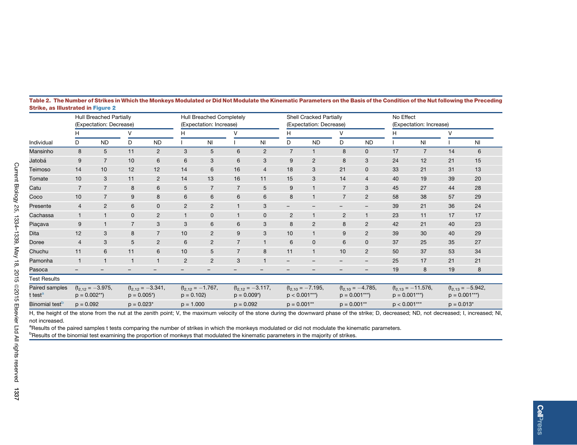| Individual                            |                                        | (Expectation: Decrease) | <b>Hull Breached Partially</b>         |                | Hull Breached Completely<br>(Expectation: Increase) |                |                                        |                | Shell Cracked Partially<br>(Expectation: Decrease) |                          |                          |                                         | No Effect<br>(Expectation: Increase) |                                          |        |                                         |  |
|---------------------------------------|----------------------------------------|-------------------------|----------------------------------------|----------------|-----------------------------------------------------|----------------|----------------------------------------|----------------|----------------------------------------------------|--------------------------|--------------------------|-----------------------------------------|--------------------------------------|------------------------------------------|--------|-----------------------------------------|--|
|                                       | н                                      |                         | V                                      |                | H                                                   |                | $\vee$                                 |                | H.                                                 |                          | V                        |                                         | H                                    |                                          | $\vee$ |                                         |  |
|                                       | D                                      | <b>ND</b>               | D                                      | <b>ND</b>      |                                                     | <b>NI</b>      |                                        | N <sub>l</sub> | D                                                  | <b>ND</b>                | D                        | <b>ND</b>                               |                                      | NI                                       |        | NI                                      |  |
| Mansinho                              | 8                                      | 5                       | 11                                     | $\overline{2}$ | 3                                                   | 5              | 6                                      | $\overline{2}$ | $\overline{7}$                                     |                          | 8                        | $\mathbf{0}$                            | 17                                   | $\overline{7}$                           | 14     | 6                                       |  |
| Jatobá                                | 9                                      | $\overline{7}$          | 10                                     | 6              | 6                                                   | 3              | 6                                      | 3              | $9\,$                                              | $\overline{2}$           | 8                        | 3                                       | 24                                   | 12                                       | 21     | 15                                      |  |
| Teimoso                               | 14                                     | 10                      | 12                                     | 12             | 14                                                  | 6              | 16                                     | $\overline{4}$ | 18                                                 | 3                        | 21                       | $\mathbf 0$                             | 33                                   | 21                                       | 31     | 13                                      |  |
| Tomate                                | 10                                     | 3                       | 11                                     | 2              | 14                                                  | 13             | 16                                     | 11             | 15                                                 | 3                        | 14                       | $\overline{4}$                          | 40                                   | 19                                       | 39     | 20                                      |  |
| Catu                                  | $\overline{7}$                         | $\overline{7}$          | 8                                      | 6              | 5                                                   | $\overline{7}$ | $\overline{7}$                         | 5              | 9                                                  |                          | $\overline{7}$           | 3                                       | 45                                   | 27                                       | 44     | 28                                      |  |
| Coco                                  | 10                                     | $\overline{7}$          | 9                                      | 8              | 6                                                   | 6              | 6                                      | 6              | 8                                                  |                          | $\overline{7}$           | $\overline{2}$                          | 58                                   | 38                                       | 57     | 29                                      |  |
| Presente                              | $\overline{4}$                         | $\overline{2}$          | 6                                      | $\mathbf 0$    | $\overline{2}$                                      | $\overline{2}$ |                                        | 3              |                                                    |                          |                          | —                                       | 39                                   | 21                                       | 36     | 24                                      |  |
| Cachassa                              |                                        | $\mathbf{1}$            | $\mathbf 0$                            | $\overline{2}$ | 1                                                   | $\mathbf{0}$   |                                        | $\mathbf{0}$   | $\overline{2}$                                     |                          | $\overline{2}$           | $\mathbf{1}$                            | 23                                   | 11                                       | 17     | 17                                      |  |
| Piaçava                               | 9                                      | $\mathbf{1}$            | $\overline{7}$                         | 3              | 3                                                   | 6              | 6                                      | 3              | 8                                                  | $\overline{2}$           | 8                        | 2                                       | 42                                   | 21                                       | 40     | 23                                      |  |
| Dita                                  | 12                                     | 3                       | 8                                      | $\overline{7}$ | 10                                                  | $\overline{2}$ | 9                                      | 3              | 10                                                 | $\mathbf{1}$             | 9                        | 2                                       | 39                                   | 30                                       | 40     | 29                                      |  |
| Doree                                 | $\overline{4}$                         | 3                       | 5                                      | $\overline{2}$ | 6                                                   | $\overline{2}$ | $\overline{7}$                         | $\mathbf{1}$   | 6                                                  | 0                        | 6                        | $\mathbf{0}$                            | 37                                   | 25                                       | 35     | 27                                      |  |
| Chuchu                                | 11                                     | 6                       | 11                                     | 6              | 10                                                  | 5              | $\overline{7}$                         | 8              | 11                                                 |                          | 10                       | $\overline{2}$                          | 50                                   | 37                                       | 53     | 34                                      |  |
| Pamonha                               | $\overline{1}$                         | $\overline{1}$          | $\mathbf{1}$                           | $\mathbf{1}$   | $\overline{2}$                                      | 2              | 3                                      | $\overline{1}$ | $\qquad \qquad -$                                  | $\overline{\phantom{0}}$ | $\qquad \qquad -$        | -                                       | 25                                   | 17                                       | 21     | 21                                      |  |
| Pasoca                                |                                        |                         | $\overline{\phantom{m}}$               | -              | -                                                   | -              | -                                      | -              |                                                    |                          | $\overline{\phantom{m}}$ | $\overline{\phantom{a}}$                | 19                                   | 8                                        | 19     | 8                                       |  |
| <b>Test Results</b>                   |                                        |                         |                                        |                |                                                     |                |                                        |                |                                                    |                          |                          |                                         |                                      |                                          |        |                                         |  |
| Paired samples<br>t test <sup>a</sup> | $(t_{2,12} = -3.975,$<br>$p = 0.002**$ |                         | $(t_{2,12} = -3.341,$<br>$p = 0.005^*$ |                | $(t_{2,12} = -1.767,$<br>$p = 0.102$                |                | $(t_{2,12} = -3.117,$<br>$p = 0.009^*$ |                | $(t_{2,10} = -7.195,$<br>$p < 0.001***$            |                          |                          | $(t_{2,10} = -4.785,$<br>$p = 0.001***$ |                                      | $(t_{2,13} = -11.576,$<br>$p = 0.001***$ |        | $(t_{2,13} = -5.942,$<br>$p = 0.001***$ |  |
| Binomial test <sup>b</sup>            | $p = 0.092$                            |                         | $p = 0.023*$                           |                | $p = 1.000$                                         |                | $p = 0.092$                            |                |                                                    | $p = 0.001**$            |                          | $p = 0.001**$                           |                                      | $p < 0.001***$                           |        | $p = 0.013*$                            |  |

<span id="page-4-0"></span>Table 2. The Number of Strikes in Which the Monkeys Modulated or Did Not Modulate the Kinematic Parameters on the Basis of the Condition of the Nut following the Preceding Strike, as Illustrated in [Figure](#page-2-2) 2

H, the height of the stone from the nut at the zenith point; V, the maximum velocity of the stone during the downward phase of the strike; D, decreased; ND, not decreased; I, increased; NI, not increased.

<span id="page-4-2"></span><span id="page-4-1"></span><sup>a</sup>Results of the paired samples t tests comparing the number of strikes in which the monkeys modulated or did not modulate the kinematic parameters.

bResults of the binomial test examining the proportion of monkeys that modulated the kinematic parameters in the majority of strikes.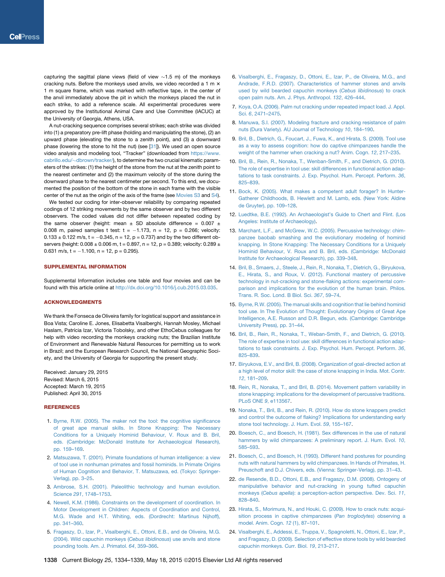capturing the sagittal plane views (field of view  $\sim$ 1.5 m) of the monkeys cracking nuts. Before the monkeys used anvils, we video recorded a 1 m x 1 m square frame, which was marked with reflective tape, in the center of the anvil immediately above the pit in which the monkeys placed the nut in each strike, to add a reference scale. All experimental procedures were approved by the Institutional Animal Care and Use Committee (IACUC) at the University of Georgia, Athens, USA.

A nut-cracking sequence comprises several strikes; each strike was divided into (1) a preparatory pre-lift phase (holding and manipulating the stone), (2) an upward phase (elevating the stone to a zenith point), and (3) a downward phase (lowering the stone to hit the nut) (see [\[31\]](#page-6-2)). We used an open source video analysis and modeling tool, ''Tracker'' (downloaded from [https://www.](https://www.cabrillo.edu/%7Edbrown/tracker/) [cabrillo.edu/](https://www.cabrillo.edu/%7Edbrown/tracker/)~[dbrown/tracker/](https://www.cabrillo.edu/%7Edbrown/tracker/)), to determine the two crucial kinematic parameters of the strikes: (1) the height of the stone from the nut at the zenith point to the nearest centimeter and (2) the maximum velocity of the stone during the downward phase to the nearest centimeter per second. To this end, we documented the position of the bottom of the stone in each frame with the visible center of the nut as the origin of the axis of the frame (see Movies S3 and S4).

We tested our coding for inter-observer reliability by comparing repeated codings of 12 striking movements by the same observer and by two different observers. The coded values did not differ between repeated coding by the same observer (height: mean  $\pm$  SD absolute difference = 0.007  $\pm$ 0.008 m, paired samples t test:  $t = -1.173$ ,  $n = 12$ ,  $p = 0.266$ ; velocity:  $0.133 \pm 0.122$  m/s, t = -0.345, n = 12, p = 0.737) and by the two different observers (height:  $0.008 \pm 0.006$  m, t = 0.897, n = 12, p = 0.389; velocity: 0.289  $\pm$ 0.631 m/s,  $t = -1.100$ ,  $n = 12$ ,  $p = 0.295$ ).

#### <span id="page-5-4"></span>SUPPLEMENTAL INFORMATION

Supplemental Information includes one table and four movies and can be found with this article online at <http://dx.doi.org/10.1016/j.cub.2015.03.035>.

#### ACKNOWLEDGMENTS

We thank the Fonseca de Oliveira family for logistical support and assistance in Boa Vista; Caroline E. Jones, Elisabetta Visalberghi, Hannah Mosley, Michael Haslam, Patrícia Izar, Victoria Tobolsky, and other EthoCebus colleagues for help with video recording the monkeys cracking nuts; the Brazilian Institute of Environment and Renewable Natural Resources for permitting us to work in Brazil; and the European Research Council, the National Geographic Society, and the University of Georgia for supporting the present study.

Received: January 29, 2015 Revised: March 6, 2015 Accepted: March 19, 2015 Published: April 30, 2015

#### REFERENCES

- <span id="page-5-0"></span>1. [Byrne, R.W. \(2005\). The maker not the tool: the cognitive significance](http://refhub.elsevier.com/S0960-9822(15)00350-4/sref1) [of great ape manual skills. In Stone Knapping: The Necessary](http://refhub.elsevier.com/S0960-9822(15)00350-4/sref1) [Conditions for a Uniquely Hominid Behaviour, V. Roux and B. Bril,](http://refhub.elsevier.com/S0960-9822(15)00350-4/sref1) [eds. \(Cambridge: McDonald Institute for Archaeological Research\),](http://refhub.elsevier.com/S0960-9822(15)00350-4/sref1) [pp. 159–169](http://refhub.elsevier.com/S0960-9822(15)00350-4/sref1).
- 2. [Matsuzawa, T. \(2001\). Primate foundations of human intelligence: a view](http://refhub.elsevier.com/S0960-9822(15)00350-4/sref2) [of tool use in nonhuman primates and fossil hominids. In Primate Origins](http://refhub.elsevier.com/S0960-9822(15)00350-4/sref2) [of Human Cognition and Behavior, T. Matsuzawa, ed. \(Tokyo: Springer-](http://refhub.elsevier.com/S0960-9822(15)00350-4/sref2)[Verlag\), pp. 3–25](http://refhub.elsevier.com/S0960-9822(15)00350-4/sref2).
- 3. [Ambrose, S.H. \(2001\). Paleolithic technology and human evolution.](http://refhub.elsevier.com/S0960-9822(15)00350-4/sref3) Science *291*[, 1748–1753](http://refhub.elsevier.com/S0960-9822(15)00350-4/sref3).
- <span id="page-5-1"></span>4. [Newell, K.M. \(1986\). Constraints on the development of coordination. In](http://refhub.elsevier.com/S0960-9822(15)00350-4/sref4) [Motor Development in Children: Aspects of Coordination and Control,](http://refhub.elsevier.com/S0960-9822(15)00350-4/sref4) [M.G. Wade and H.T. Whiting, eds. \(Dordrecht: Martinus Nijhoff\),](http://refhub.elsevier.com/S0960-9822(15)00350-4/sref4) [pp. 341–360](http://refhub.elsevier.com/S0960-9822(15)00350-4/sref4).
- <span id="page-5-2"></span>5. [Fragaszy, D., Izar, P., Visalberghi, E., Ottoni, E.B., and de Oliveira, M.G.](http://refhub.elsevier.com/S0960-9822(15)00350-4/sref5) [\(2004\). Wild capuchin monkeys \(](http://refhub.elsevier.com/S0960-9822(15)00350-4/sref5)*Cebus libidinosus*) use anvils and stone [pounding tools. Am. J. Primatol.](http://refhub.elsevier.com/S0960-9822(15)00350-4/sref5) *64*, 359–366.
- <span id="page-5-3"></span>6. [Visalberghi, E., Fragaszy, D., Ottoni, E., Izar, P., de Oliveira, M.G., and](http://refhub.elsevier.com/S0960-9822(15)00350-4/sref6) [Andrade, F.R.D. \(2007\). Characteristics of hammer stones and anvils](http://refhub.elsevier.com/S0960-9822(15)00350-4/sref6) [used by wild bearded capuchin monkeys \(](http://refhub.elsevier.com/S0960-9822(15)00350-4/sref6)*Cebus libidinosus*) to crack [open palm nuts. Am. J. Phys. Anthropol.](http://refhub.elsevier.com/S0960-9822(15)00350-4/sref6) *132*, 426–444.
- <span id="page-5-5"></span>7. [Koya, O.A. \(2006\). Palm nut cracking under repeated impact load. J. Appl.](http://refhub.elsevier.com/S0960-9822(15)00350-4/sref7) Sci. *6*[, 2471–2475](http://refhub.elsevier.com/S0960-9822(15)00350-4/sref7).
- <span id="page-5-6"></span>8. [Manuwa, S.I. \(2007\). Modeling fracture and cracking resistance of palm](http://refhub.elsevier.com/S0960-9822(15)00350-4/sref8) [nuts \(Dura Variety\). AU Journal of Technology](http://refhub.elsevier.com/S0960-9822(15)00350-4/sref8) *10*, 184–190.
- <span id="page-5-7"></span>9. [Bril, B., Dietrich, G., Foucart, J., Fuwa, K., and Hirata, S. \(2009\). Tool use](http://refhub.elsevier.com/S0960-9822(15)00350-4/sref9) [as a way to assess cognition: how do captive chimpanzees handle the](http://refhub.elsevier.com/S0960-9822(15)00350-4/sref9) [weight of the hammer when cracking a nut? Anim. Cogn.](http://refhub.elsevier.com/S0960-9822(15)00350-4/sref9) *12*, 217–235.
- <span id="page-5-8"></span>10. [Bril, B., Rein, R., Nonaka, T., Wenban-Smith, F., and Dietrich, G. \(2010\).](http://refhub.elsevier.com/S0960-9822(15)00350-4/sref10) [The role of expertise in tool use: skill differences in functional action adap](http://refhub.elsevier.com/S0960-9822(15)00350-4/sref10)[tations to task constraints. J. Exp. Psychol. Hum. Percept. Perform.](http://refhub.elsevier.com/S0960-9822(15)00350-4/sref10) *36*, [825–839](http://refhub.elsevier.com/S0960-9822(15)00350-4/sref10).
- <span id="page-5-9"></span>11. [Bock, K. \(2005\). What makes a competent adult forager? In Hunter-](http://refhub.elsevier.com/S0960-9822(15)00350-4/sref11)[Gatherer Childhoods, B. Hewlett and M. Lamb, eds. \(New York: Aldine](http://refhub.elsevier.com/S0960-9822(15)00350-4/sref11) [de Gruyter\), pp. 109–128](http://refhub.elsevier.com/S0960-9822(15)00350-4/sref11).
- <span id="page-5-10"></span>12. [Luedtke, B.E. \(1992\). An Archaeologist's Guide to Chert and Flint. \(Los](http://refhub.elsevier.com/S0960-9822(15)00350-4/sref12) [Angeles: Institute of Archaeology\)](http://refhub.elsevier.com/S0960-9822(15)00350-4/sref12).
- <span id="page-5-11"></span>13. [Marchant, L.F., and McGrew, W.C. \(2005\). Percussive technology: chim](http://refhub.elsevier.com/S0960-9822(15)00350-4/sref13)[panzee baobab smashing and the evolutionary modeling of hominid](http://refhub.elsevier.com/S0960-9822(15)00350-4/sref13) [knapping. In Stone Knapping: The Necessary Conditions for a Uniquely](http://refhub.elsevier.com/S0960-9822(15)00350-4/sref13) [Hominid Behaviour, V. Roux and B. Bril, eds. \(Cambridge: McDonald](http://refhub.elsevier.com/S0960-9822(15)00350-4/sref13) [Institute for Archaeological Research\), pp. 339–348.](http://refhub.elsevier.com/S0960-9822(15)00350-4/sref13)
- <span id="page-5-12"></span>14. [Bril, B., Smaers, J., Steele, J., Rein, R., Nonaka, T., Dietrich, G., Biryukova,](http://refhub.elsevier.com/S0960-9822(15)00350-4/sref14) [E., Hirata, S., and Roux, V. \(2012\). Functional mastery of percussive](http://refhub.elsevier.com/S0960-9822(15)00350-4/sref14) [technology in nut-cracking and stone-flaking actions: experimental com](http://refhub.elsevier.com/S0960-9822(15)00350-4/sref14)[parison and implications for the evolution of the human brain. Philos.](http://refhub.elsevier.com/S0960-9822(15)00350-4/sref14) [Trans. R. Soc. Lond. B Biol. Sci.](http://refhub.elsevier.com/S0960-9822(15)00350-4/sref14) *367*, 59–74.
- 15. [Byrne, R.W. \(2005\). The manual skills and cognition that lie behind hominid](http://refhub.elsevier.com/S0960-9822(15)00350-4/sref15) [tool use. In The Evolution of Thought: Evolutionary Origins of Great Ape](http://refhub.elsevier.com/S0960-9822(15)00350-4/sref15) [Intelligence, A.E. Russon and D.R. Begun, eds. \(Cambridge: Cambridge](http://refhub.elsevier.com/S0960-9822(15)00350-4/sref15) [University Press\), pp. 31–44.](http://refhub.elsevier.com/S0960-9822(15)00350-4/sref15)
- 16. [Bril, B., Rein, R., Nonaka, T., Weban-Smith, F., and Dietrich, G. \(2010\).](http://refhub.elsevier.com/S0960-9822(15)00350-4/sref16) [The role of expertise in tool use: skill differences in functional action adap](http://refhub.elsevier.com/S0960-9822(15)00350-4/sref16)[tations to task constraints. J. Exp. Psychol. Hum. Percept. Perform.](http://refhub.elsevier.com/S0960-9822(15)00350-4/sref16) *36*, [825–839](http://refhub.elsevier.com/S0960-9822(15)00350-4/sref16).
- 17. [Biryukova, E.V., and Bril, B. \(2008\). Organization of goal-directed action at](http://refhub.elsevier.com/S0960-9822(15)00350-4/sref17) [a high level of motor skill: the case of stone knapping in India. Mot. Contr.](http://refhub.elsevier.com/S0960-9822(15)00350-4/sref17) *12*[, 181–209.](http://refhub.elsevier.com/S0960-9822(15)00350-4/sref17)
- 18. [Rein, R., Nonaka, T., and Bril, B. \(2014\). Movement pattern variability in](http://refhub.elsevier.com/S0960-9822(15)00350-4/sref18) [stone knapping: implications for the development of percussive traditions.](http://refhub.elsevier.com/S0960-9822(15)00350-4/sref18) [PLoS ONE](http://refhub.elsevier.com/S0960-9822(15)00350-4/sref18) *9*, e113567.
- 19. [Nonaka, T., Bril, B., and Rein, R. \(2010\). How do stone knappers predict](http://refhub.elsevier.com/S0960-9822(15)00350-4/sref19) [and control the outcome of flaking? Implications for understanding early](http://refhub.elsevier.com/S0960-9822(15)00350-4/sref19) [stone tool technology. J. Hum. Evol.](http://refhub.elsevier.com/S0960-9822(15)00350-4/sref19) *59*, 155–167.
- 20. [Boesch, C., and Boesch, H. \(1981\). Sex differences in the use of natural](http://refhub.elsevier.com/S0960-9822(15)00350-4/sref20) [hammers by wild chimpanzees: A preliminary report. J. Hum. Evol.](http://refhub.elsevier.com/S0960-9822(15)00350-4/sref20) *10*, [585–593](http://refhub.elsevier.com/S0960-9822(15)00350-4/sref20).
- <span id="page-5-13"></span>21. [Boesch, C., and Boesch, H. \(1993\). Different hand postures for pounding](http://refhub.elsevier.com/S0960-9822(15)00350-4/sref21) [nuts with natural hammers by wild chimpanzees. In Hands of Primates, H.](http://refhub.elsevier.com/S0960-9822(15)00350-4/sref21) [Preuschoft and D.J. Chivers, eds. \(Vienna: Springer-Verlag\), pp. 31–43.](http://refhub.elsevier.com/S0960-9822(15)00350-4/sref21)
- 22. [de Resende, B.D., Ottoni, E.B., and Fragaszy, D.M. \(2008\). Ontogeny of](http://refhub.elsevier.com/S0960-9822(15)00350-4/sref22) [manipulative behavior and nut-cracking in young tufted capuchin](http://refhub.elsevier.com/S0960-9822(15)00350-4/sref22) monkeys (*Cebus apella*[\): a perception-action perspective. Dev. Sci.](http://refhub.elsevier.com/S0960-9822(15)00350-4/sref22) *11*, [828–840](http://refhub.elsevier.com/S0960-9822(15)00350-4/sref22).
- 23. [Hirata, S., Morimura, N., and Houki, C. \(2009\). How to crack nuts: acqui](http://refhub.elsevier.com/S0960-9822(15)00350-4/sref23)[sition process in captive chimpanzees \(](http://refhub.elsevier.com/S0960-9822(15)00350-4/sref23)*Pan troglodytes*) observing a [model. Anim. Cogn.](http://refhub.elsevier.com/S0960-9822(15)00350-4/sref23) *12* (1), 87–101.
- <span id="page-5-14"></span>24. [Visalberghi, E., Addessi, E., Truppa, V., Spagnoletti, N., Ottoni, E., Izar, P.,](http://refhub.elsevier.com/S0960-9822(15)00350-4/sref24) [and Fragaszy, D. \(2009\). Selection of effective stone tools by wild bearded](http://refhub.elsevier.com/S0960-9822(15)00350-4/sref24) [capuchin monkeys. Curr. Biol.](http://refhub.elsevier.com/S0960-9822(15)00350-4/sref24) *19*, 213–217.